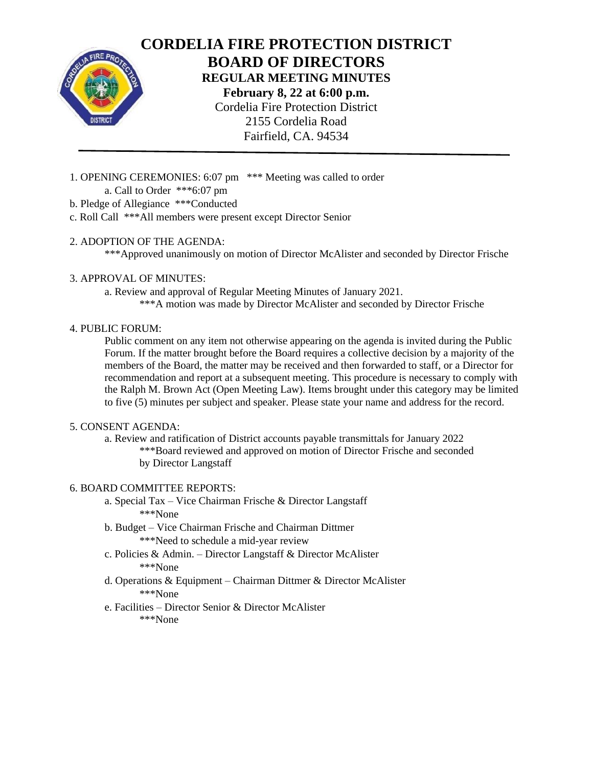

# **CORDELIA FIRE PROTECTION DISTRICT BOARD OF DIRECTORS REGULAR MEETING MINUTES February 8, 22 at 6:00 p.m.** Cordelia Fire Protection District 2155 Cordelia Road Fairfield, CA. 94534

- 1. OPENING CEREMONIES: 6:07 pm \*\*\* Meeting was called to order a. Call to Order \*\*\*6:07 pm
- b. Pledge of Allegiance \*\*\*Conducted
- c. Roll Call \*\*\*All members were present except Director Senior

## 2. ADOPTION OF THE AGENDA:

\*\*\*Approved unanimously on motion of Director McAlister and seconded by Director Frische

## 3. APPROVAL OF MINUTES:

a. Review and approval of Regular Meeting Minutes of January 2021.

\*\*\*A motion was made by Director McAlister and seconded by Director Frische

## 4. PUBLIC FORUM:

Public comment on any item not otherwise appearing on the agenda is invited during the Public Forum. If the matter brought before the Board requires a collective decision by a majority of the members of the Board, the matter may be received and then forwarded to staff, or a Director for recommendation and report at a subsequent meeting. This procedure is necessary to comply with the Ralph M. Brown Act (Open Meeting Law). Items brought under this category may be limited to five (5) minutes per subject and speaker. Please state your name and address for the record.

# 5. CONSENT AGENDA:

a. Review and ratification of District accounts payable transmittals for January 2022

\*\*\*Board reviewed and approved on motion of Director Frische and seconded by Director Langstaff

#### 6. BOARD COMMITTEE REPORTS:

- a. Special Tax Vice Chairman Frische & Director Langstaff \*\*\*None
- b. Budget Vice Chairman Frische and Chairman Dittmer \*\*\*Need to schedule a mid-year review
- c. Policies & Admin. Director Langstaff & Director McAlister \*\*\*None
- d. Operations & Equipment Chairman Dittmer & Director McAlister \*\*\*None
- e. Facilities Director Senior & Director McAlister \*\*\*None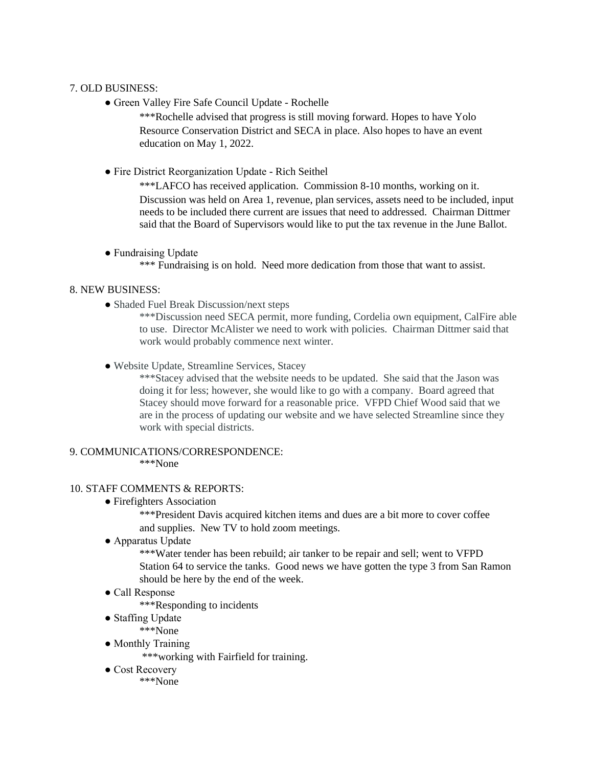# 7. OLD BUSINESS:

● Green Valley Fire Safe Council Update - Rochelle

\*\*\*Rochelle advised that progress is still moving forward. Hopes to have Yolo Resource Conservation District and SECA in place. Also hopes to have an event education on May 1, 2022.

● Fire District Reorganization Update - Rich Seithel

\*\*\*LAFCO has received application. Commission 8-10 months, working on it. Discussion was held on Area 1, revenue, plan services, assets need to be included, input needs to be included there current are issues that need to addressed. Chairman Dittmer said that the Board of Supervisors would like to put the tax revenue in the June Ballot.

● Fundraising Update

\*\*\* Fundraising is on hold. Need more dedication from those that want to assist.

#### 8. NEW BUSINESS:

● Shaded Fuel Break Discussion/next steps

\*\*\*Discussion need SECA permit, more funding, Cordelia own equipment, CalFire able to use. Director McAlister we need to work with policies. Chairman Dittmer said that work would probably commence next winter.

● Website Update, Streamline Services, Stacey

\*\*\*Stacey advised that the website needs to be updated. She said that the Jason was doing it for less; however, she would like to go with a company. Board agreed that Stacey should move forward for a reasonable price. VFPD Chief Wood said that we are in the process of updating our website and we have selected Streamline since they work with special districts.

#### 9. COMMUNICATIONS/CORRESPONDENCE: \*\*\*None

#### 10. STAFF COMMENTS & REPORTS:

● Firefighters Association

\*\*\*President Davis acquired kitchen items and dues are a bit more to cover coffee and supplies. New TV to hold zoom meetings.

● Apparatus Update

\*\*\*Water tender has been rebuild; air tanker to be repair and sell; went to VFPD Station 64 to service the tanks. Good news we have gotten the type 3 from San Ramon should be here by the end of the week.

- Call Response
	- \*\*\*Responding to incidents
- Staffing Update
	- \*\*\*None
- Monthly Training
	- \*\*\*working with Fairfield for training.
- Cost Recovery \*\*\*None